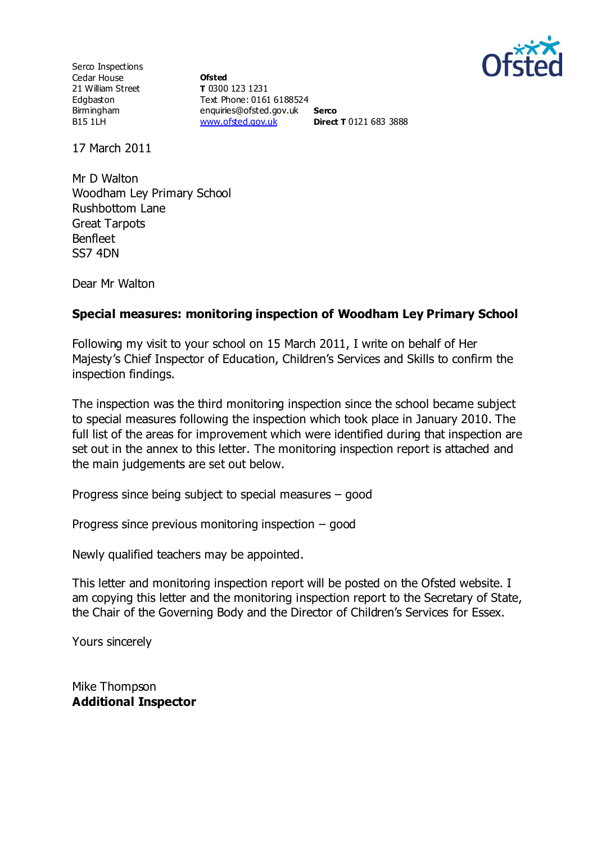

Serco Inspections Cedar House 21 William Street Edgbaston Birmingham B15 1LH

**Ofsted T** 0300 123 1231 Text Phone: 0161 6188524 enquiries@ofsted.gov.uk **Serco** [www.ofsted.gov.uk](http://www.ofsted.gov.uk/) **Direct T** 0121 683 3888

17 March 2011

Mr D Walton Woodham Ley Primary School Rushbottom Lane Great Tarpots Benfleet SS7 4DN

Dear Mr Walton

#### **Special measures: monitoring inspection of Woodham Ley Primary School**

Following my visit to your school on 15 March 2011, I write on behalf of Her Majesty's Chief Inspector of Education, Children's Services and Skills to confirm the inspection findings.

The inspection was the third monitoring inspection since the school became subject to special measures following the inspection which took place in January 2010. The full list of the areas for improvement which were identified during that inspection are set out in the annex to this letter. The monitoring inspection report is attached and the main judgements are set out below.

Progress since being subject to special measures – good

Progress since previous monitoring inspection – good

Newly qualified teachers may be appointed.

This letter and monitoring inspection report will be posted on the Ofsted website. I am copying this letter and the monitoring inspection report to the Secretary of State, the Chair of the Governing Body and the Director of Children's Services for Essex.

Yours sincerely

Mike Thompson **Additional Inspector**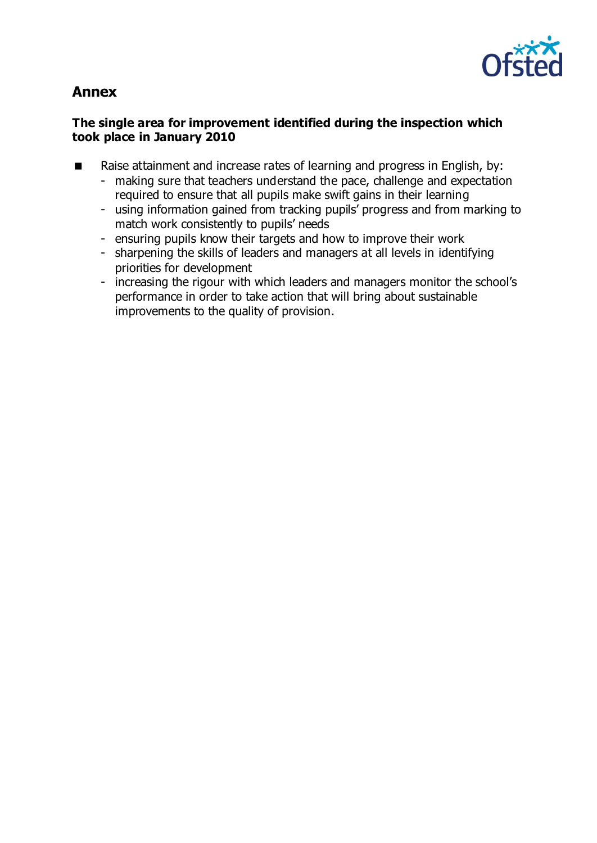

# **Annex**

# **The single area for improvement identified during the inspection which took place in January 2010**

- Raise attainment and increase rates of learning and progress in English, by:
	- making sure that teachers understand the pace, challenge and expectation required to ensure that all pupils make swift gains in their learning
	- using information gained from tracking pupils' progress and from marking to match work consistently to pupils' needs
	- ensuring pupils know their targets and how to improve their work
	- sharpening the skills of leaders and managers at all levels in identifying priorities for development
	- increasing the rigour with which leaders and managers monitor the school's performance in order to take action that will bring about sustainable improvements to the quality of provision.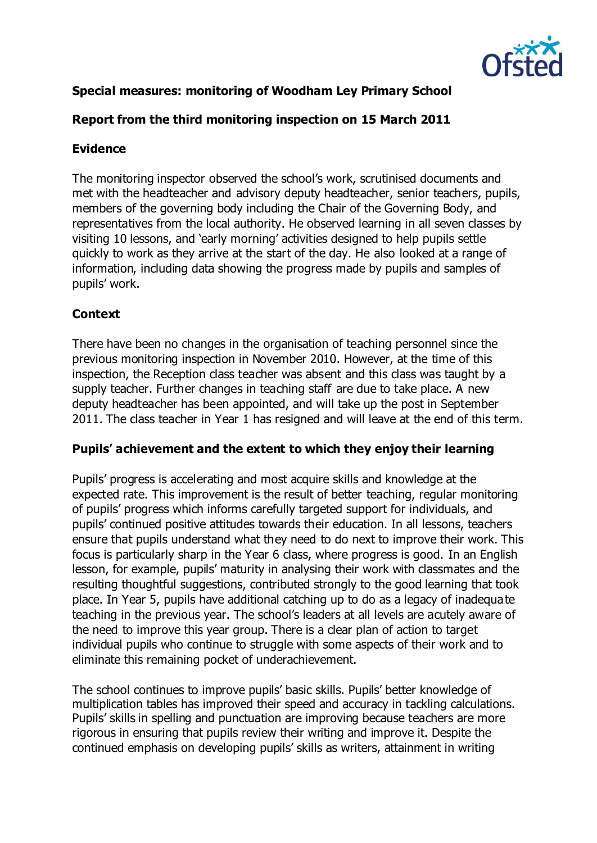

# **Special measures: monitoring of Woodham Ley Primary School**

# **Report from the third monitoring inspection on 15 March 2011**

# **Evidence**

The monitoring inspector observed the school's work, scrutinised documents and met with the headteacher and advisory deputy headteacher, senior teachers, pupils, members of the governing body including the Chair of the Governing Body, and representatives from the local authority. He observed learning in all seven classes by visiting 10 lessons, and 'early morning' activities designed to help pupils settle quickly to work as they arrive at the start of the day. He also looked at a range of information, including data showing the progress made by pupils and samples of pupils' work.

# **Context**

There have been no changes in the organisation of teaching personnel since the previous monitoring inspection in November 2010. However, at the time of this inspection, the Reception class teacher was absent and this class was taught by a supply teacher. Further changes in teaching staff are due to take place. A new deputy headteacher has been appointed, and will take up the post in September 2011. The class teacher in Year 1 has resigned and will leave at the end of this term.

#### **Pupils' achievement and the extent to which they enjoy their learning**

Pupils' progress is accelerating and most acquire skills and knowledge at the expected rate. This improvement is the result of better teaching, regular monitoring of pupils' progress which informs carefully targeted support for individuals, and pupils' continued positive attitudes towards their education. In all lessons, teachers ensure that pupils understand what they need to do next to improve their work. This focus is particularly sharp in the Year 6 class, where progress is good. In an English lesson, for example, pupils' maturity in analysing their work with classmates and the resulting thoughtful suggestions, contributed strongly to the good learning that took place. In Year 5, pupils have additional catching up to do as a legacy of inadequate teaching in the previous year. The school's leaders at all levels are acutely aware of the need to improve this year group. There is a clear plan of action to target individual pupils who continue to struggle with some aspects of their work and to eliminate this remaining pocket of underachievement.

The school continues to improve pupils' basic skills. Pupils' better knowledge of multiplication tables has improved their speed and accuracy in tackling calculations. Pupils' skills in spelling and punctuation are improving because teachers are more rigorous in ensuring that pupils review their writing and improve it. Despite the continued emphasis on developing pupils' skills as writers, attainment in writing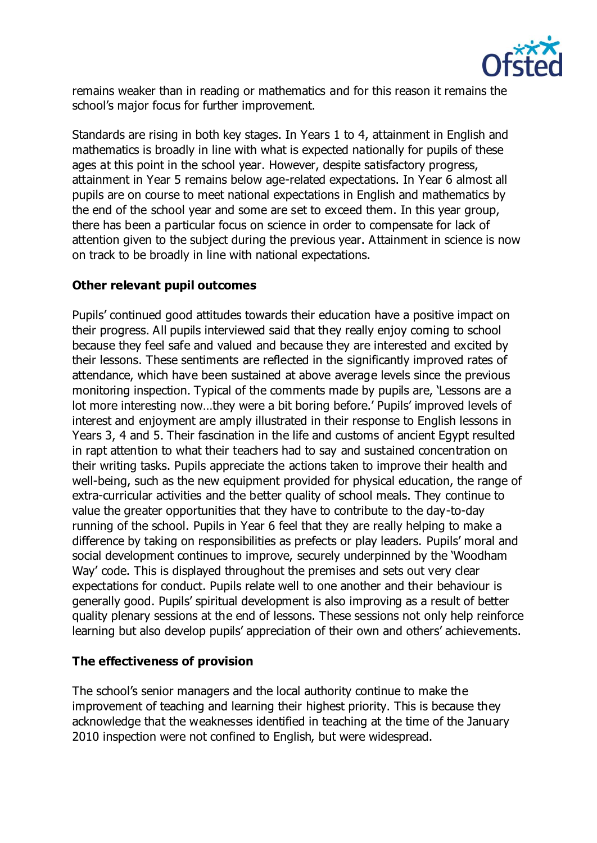

remains weaker than in reading or mathematics and for this reason it remains the school's major focus for further improvement.

Standards are rising in both key stages. In Years 1 to 4, attainment in English and mathematics is broadly in line with what is expected nationally for pupils of these ages at this point in the school year. However, despite satisfactory progress, attainment in Year 5 remains below age-related expectations. In Year 6 almost all pupils are on course to meet national expectations in English and mathematics by the end of the school year and some are set to exceed them. In this year group, there has been a particular focus on science in order to compensate for lack of attention given to the subject during the previous year. Attainment in science is now on track to be broadly in line with national expectations.

# **Other relevant pupil outcomes**

Pupils' continued good attitudes towards their education have a positive impact on their progress. All pupils interviewed said that they really enjoy coming to school because they feel safe and valued and because they are interested and excited by their lessons. These sentiments are reflected in the significantly improved rates of attendance, which have been sustained at above average levels since the previous monitoring inspection. Typical of the comments made by pupils are, 'Lessons are a lot more interesting now…they were a bit boring before.' Pupils' improved levels of interest and enjoyment are amply illustrated in their response to English lessons in Years 3, 4 and 5. Their fascination in the life and customs of ancient Egypt resulted in rapt attention to what their teachers had to say and sustained concentration on their writing tasks. Pupils appreciate the actions taken to improve their health and well-being, such as the new equipment provided for physical education, the range of extra-curricular activities and the better quality of school meals. They continue to value the greater opportunities that they have to contribute to the day-to-day running of the school. Pupils in Year 6 feel that they are really helping to make a difference by taking on responsibilities as prefects or play leaders. Pupils' moral and social development continues to improve, securely underpinned by the 'Woodham Way' code. This is displayed throughout the premises and sets out very clear expectations for conduct. Pupils relate well to one another and their behaviour is generally good. Pupils' spiritual development is also improving as a result of better quality plenary sessions at the end of lessons. These sessions not only help reinforce learning but also develop pupils' appreciation of their own and others' achievements.

# **The effectiveness of provision**

The school's senior managers and the local authority continue to make the improvement of teaching and learning their highest priority. This is because they acknowledge that the weaknesses identified in teaching at the time of the January 2010 inspection were not confined to English, but were widespread.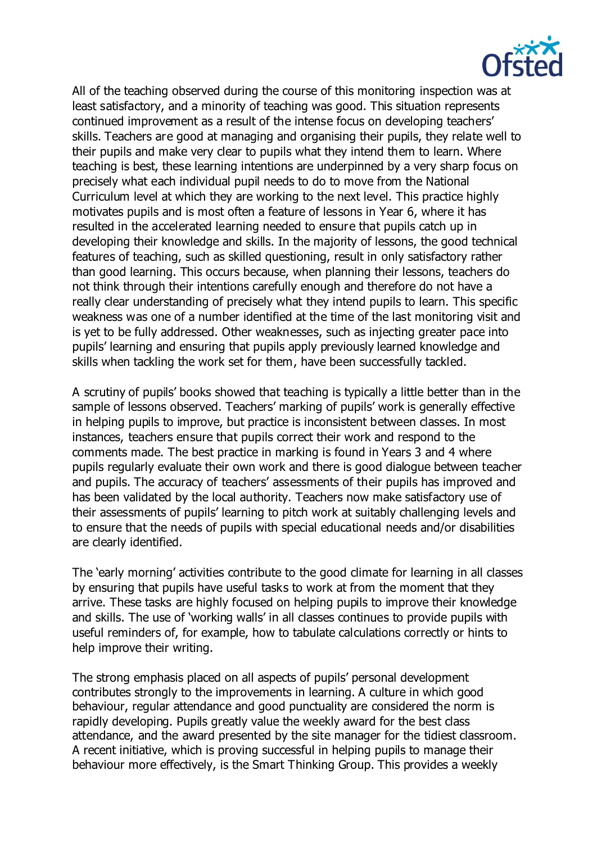

All of the teaching observed during the course of this monitoring inspection was at least satisfactory, and a minority of teaching was good. This situation represents continued improvement as a result of the intense focus on developing teachers' skills. Teachers are good at managing and organising their pupils, they relate well to their pupils and make very clear to pupils what they intend them to learn. Where teaching is best, these learning intentions are underpinned by a very sharp focus on precisely what each individual pupil needs to do to move from the National Curriculum level at which they are working to the next level. This practice highly motivates pupils and is most often a feature of lessons in Year 6, where it has resulted in the accelerated learning needed to ensure that pupils catch up in developing their knowledge and skills. In the majority of lessons, the good technical features of teaching, such as skilled questioning, result in only satisfactory rather than good learning. This occurs because, when planning their lessons, teachers do not think through their intentions carefully enough and therefore do not have a really clear understanding of precisely what they intend pupils to learn. This specific weakness was one of a number identified at the time of the last monitoring visit and is yet to be fully addressed. Other weaknesses, such as injecting greater pace into pupils' learning and ensuring that pupils apply previously learned knowledge and skills when tackling the work set for them, have been successfully tackled.

A scrutiny of pupils' books showed that teaching is typically a little better than in the sample of lessons observed. Teachers' marking of pupils' work is generally effective in helping pupils to improve, but practice is inconsistent between classes. In most instances, teachers ensure that pupils correct their work and respond to the comments made. The best practice in marking is found in Years 3 and 4 where pupils regularly evaluate their own work and there is good dialogue between teacher and pupils. The accuracy of teachers' assessments of their pupils has improved and has been validated by the local authority. Teachers now make satisfactory use of their assessments of pupils' learning to pitch work at suitably challenging levels and to ensure that the needs of pupils with special educational needs and/or disabilities are clearly identified.

The 'early morning' activities contribute to the good climate for learning in all classes by ensuring that pupils have useful tasks to work at from the moment that they arrive. These tasks are highly focused on helping pupils to improve their knowledge and skills. The use of 'working walls' in all classes continues to provide pupils with useful reminders of, for example, how to tabulate calculations correctly or hints to help improve their writing.

The strong emphasis placed on all aspects of pupils' personal development contributes strongly to the improvements in learning. A culture in which good behaviour, regular attendance and good punctuality are considered the norm is rapidly developing. Pupils greatly value the weekly award for the best class attendance, and the award presented by the site manager for the tidiest classroom. A recent initiative, which is proving successful in helping pupils to manage their behaviour more effectively, is the Smart Thinking Group. This provides a weekly